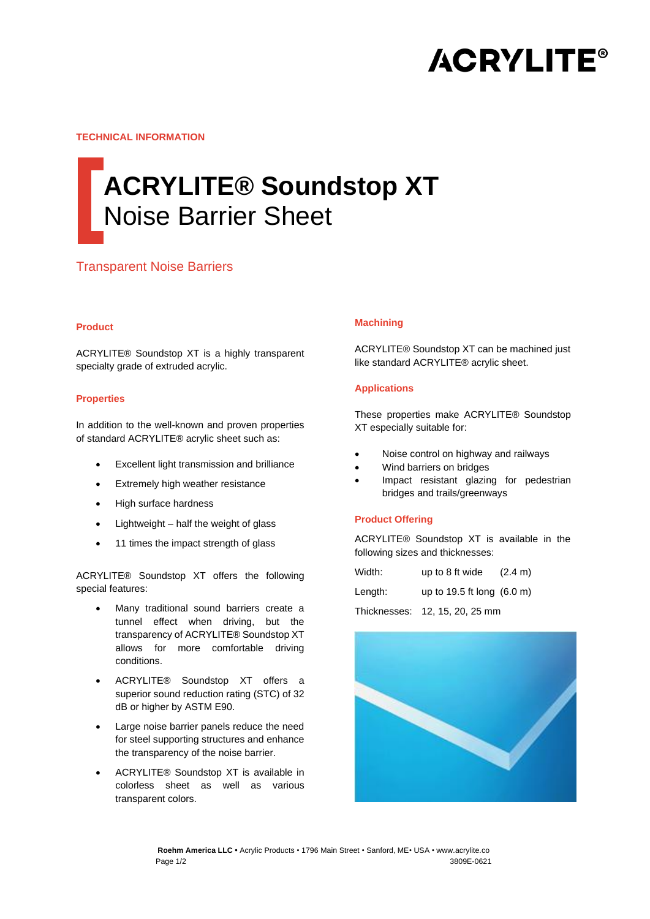

**TECHNICAL INFORMATION**

# **ACRYLITE® Soundstop XT** Noise Barrier Sheet

## Transparent Noise Barriers

#### **Product**

ACRYLITE® Soundstop XT is a highly transparent specialty grade of extruded acrylic.

#### **Properties**

In addition to the well-known and proven properties of standard ACRYLITE® acrylic sheet such as:

- Excellent light transmission and brilliance
- Extremely high weather resistance
- High surface hardness
- Lightweight half the weight of glass
- 11 times the impact strength of glass

ACRYLITE® Soundstop XT offers the following special features:

- Many traditional sound barriers create a tunnel effect when driving, but the transparency of ACRYLITE® Soundstop XT allows for more comfortable driving conditions.
- ACRYLITE® Soundstop XT offers a superior sound reduction rating (STC) of 32 dB or higher by ASTM E90.
- Large noise barrier panels reduce the need for steel supporting structures and enhance the transparency of the noise barrier.
- ACRYLITE® Soundstop XT is available in colorless sheet as well as various transparent colors.

#### **Machining**

ACRYLITE® Soundstop XT can be machined just like standard ACRYLITE® acrylic sheet.

#### **Applications**

These properties make ACRYLITE® Soundstop XT especially suitable for:

- Noise control on highway and railways
- Wind barriers on bridges
- Impact resistant glazing for pedestrian bridges and trails/greenways

#### **Product Offering**

ACRYLITE® Soundstop XT is available in the following sizes and thicknesses:

| Width:  | up to 8 ft wide            | $(2.4 \text{ m})$ |
|---------|----------------------------|-------------------|
| Length: | up to 19.5 ft long (6.0 m) |                   |

Thicknesses: 12, 15, 20, 25 mm



**Roehm America LLC •** Acrylic Products • 1796 Main Street • Sanford, ME• USA • www.acrylite.co Page 1/2 3809E-0621